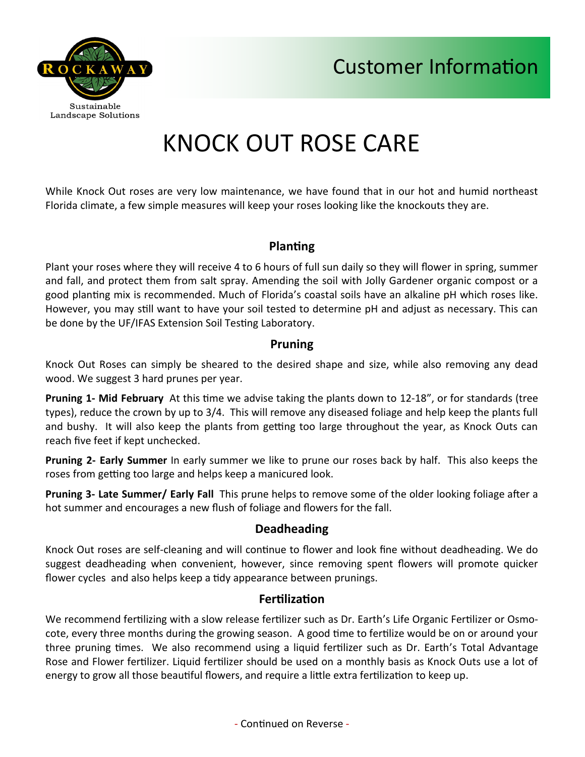



# KNOCK OUT ROSE CARE

While Knock Out roses are very low maintenance, we have found that in our hot and humid northeast Florida climate, a few simple measures will keep your roses looking like the knockouts they are.

## **Planting**

Plant your roses where they will receive 4 to 6 hours of full sun daily so they will flower in spring, summer and fall, and protect them from salt spray. Amending the soil with Jolly Gardener organic compost or a good planting mix is recommended. Much of Florida's coastal soils have an alkaline pH which roses like. However, you may still want to have your soil tested to determine pH and adjust as necessary. This can be done by the UF/IFAS Extension Soil Testing Laboratory.

#### **Pruning**

Knock Out Roses can simply be sheared to the desired shape and size, while also removing any dead wood. We suggest 3 hard prunes per year.

**Pruning 1- Mid February** At this time we advise taking the plants down to 12-18", or for standards (tree types), reduce the crown by up to 3/4. This will remove any diseased foliage and help keep the plants full and bushy. It will also keep the plants from getting too large throughout the year, as Knock Outs can reach five feet if kept unchecked.

**Pruning 2- Early Summer** In early summer we like to prune our roses back by half. This also keeps the roses from getting too large and helps keep a manicured look.

**Pruning 3- Late Summer/ Early Fall** This prune helps to remove some of the older looking foliage after a hot summer and encourages a new flush of foliage and flowers for the fall.

## **Deadheading**

Knock Out roses are self-cleaning and will continue to flower and look fine without deadheading. We do suggest deadheading when convenient, however, since removing spent flowers will promote quicker flower cycles and also helps keep a tidy appearance between prunings.

## **Fertilization**

We recommend fertilizing with a slow release fertilizer such as Dr. Earth's Life Organic Fertilizer or Osmocote, every three months during the growing season. A good time to fertilize would be on or around your three pruning times. We also recommend using a liquid fertilizer such as Dr. Earth's Total Advantage Rose and Flower fertilizer. Liquid fertilizer should be used on a monthly basis as Knock Outs use a lot of energy to grow all those beautiful flowers, and require a little extra fertilization to keep up.

- Continued on Reverse -